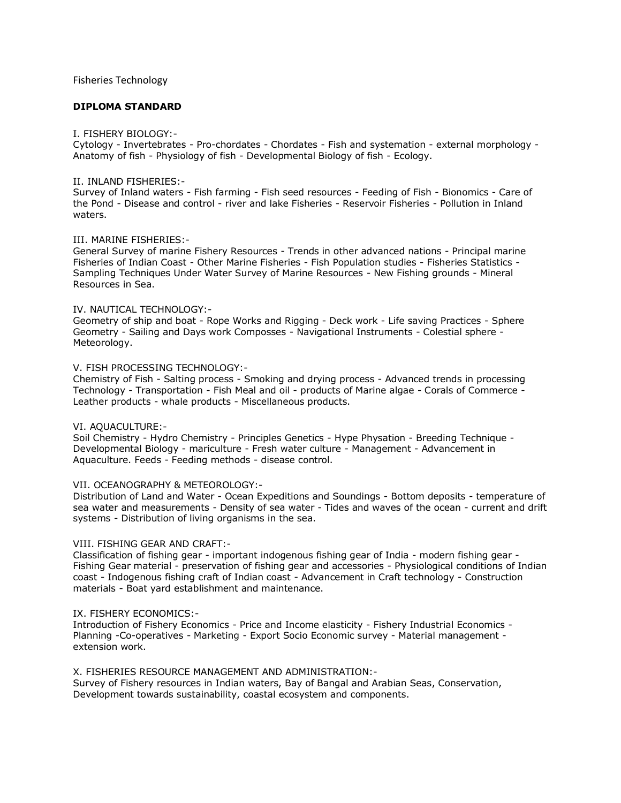# Fisheries Technology

# **DIPLOMA STANDARD**

#### I. FISHERY BIOLOGY:-

Cytology - Invertebrates - Pro-chordates - Chordates - Fish and systemation - external morphology - Anatomy of fish - Physiology of fish - Developmental Biology of fish - Ecology.

## II. INLAND FISHERIES:-

Survey of Inland waters - Fish farming - Fish seed resources - Feeding of Fish - Bionomics - Care of the Pond - Disease and control - river and lake Fisheries - Reservoir Fisheries - Pollution in Inland waters.

## III. MARINE FISHERIES:-

General Survey of marine Fishery Resources - Trends in other advanced nations - Principal marine Fisheries of Indian Coast - Other Marine Fisheries - Fish Population studies - Fisheries Statistics - Sampling Techniques Under Water Survey of Marine Resources - New Fishing grounds - Mineral Resources in Sea.

#### IV. NAUTICAL TECHNOLOGY:-

Geometry of ship and boat - Rope Works and Rigging - Deck work - Life saving Practices - Sphere Geometry - Sailing and Days work Composses - Navigational Instruments - Colestial sphere - Meteorology.

#### V. FISH PROCESSING TECHNOLOGY:-

Chemistry of Fish - Salting process - Smoking and drying process - Advanced trends in processing Technology - Transportation - Fish Meal and oil - products of Marine algae - Corals of Commerce - Leather products - whale products - Miscellaneous products.

## VI. AQUACULTURE:-

Soil Chemistry - Hydro Chemistry - Principles Genetics - Hype Physation - Breeding Technique - Developmental Biology - mariculture - Fresh water culture - Management - Advancement in Aquaculture. Feeds - Feeding methods - disease control.

## VII. OCEANOGRAPHY & METEOROLOGY:-

Distribution of Land and Water - Ocean Expeditions and Soundings - Bottom deposits - temperature of sea water and measurements - Density of sea water - Tides and waves of the ocean - current and drift systems - Distribution of living organisms in the sea.

## VIII. FISHING GEAR AND CRAFT:-

Classification of fishing gear - important indogenous fishing gear of India - modern fishing gear - Fishing Gear material - preservation of fishing gear and accessories - Physiological conditions of Indian coast - Indogenous fishing craft of Indian coast - Advancement in Craft technology - Construction materials - Boat yard establishment and maintenance.

## IX. FISHERY ECONOMICS:-

Introduction of Fishery Economics - Price and Income elasticity - Fishery Industrial Economics - Planning -Co-operatives - Marketing - Export Socio Economic survey - Material management extension work.

## X. FISHERIES RESOURCE MANAGEMENT AND ADMINISTRATION:-

Survey of Fishery resources in Indian waters, Bay of Bangal and Arabian Seas, Conservation, Development towards sustainability, coastal ecosystem and components.